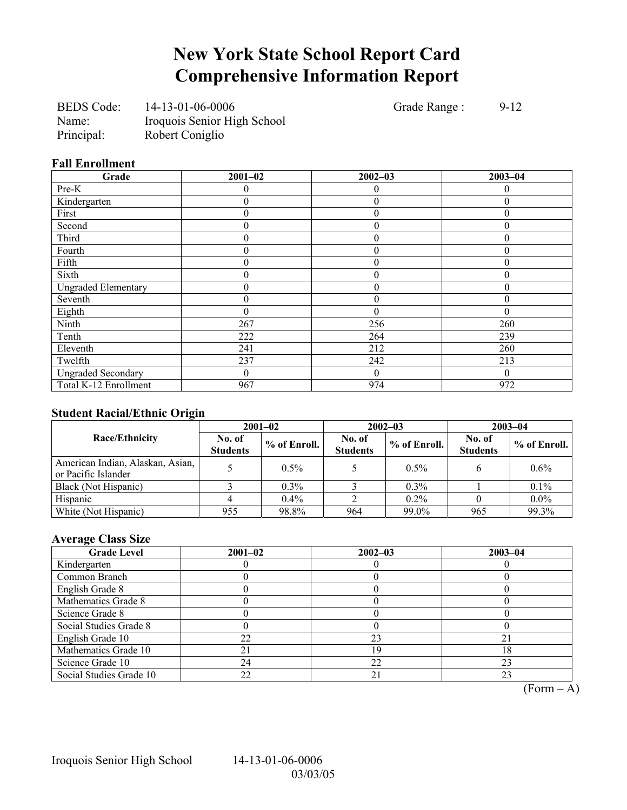## **New York State School Report Card Comprehensive Information Report**

BEDS Code: 14-13-01-06-0006 Grade Range : 9-12 Name: Iroquois Senior High School Principal: Robert Coniglio

### **Fall Enrollment**

| Grade                      | $2001 - 02$ | $2002 - 03$      | $2003 - 04$  |
|----------------------------|-------------|------------------|--------------|
| Pre-K                      |             | 0                | 0            |
| Kindergarten               | 0           | $\mathbf{0}$     | $\theta$     |
| First                      | 0           | $\mathbf{0}$     |              |
| Second                     | 0           | $\boldsymbol{0}$ | 0            |
| Third                      | 0           | $\boldsymbol{0}$ | $\theta$     |
| Fourth                     | 0           | $\theta$         | $\theta$     |
| Fifth                      | 0           | $\theta$         | $\theta$     |
| Sixth                      | 0           | $\mathbf{0}$     | 0            |
| <b>Ungraded Elementary</b> | 0           | $\boldsymbol{0}$ | $\mathbf{0}$ |
| Seventh                    | 0           | $\boldsymbol{0}$ | $\theta$     |
| Eighth                     | 0           | $\theta$         | $\Omega$     |
| Ninth                      | 267         | 256              | 260          |
| Tenth                      | 222         | 264              | 239          |
| Eleventh                   | 241         | 212              | 260          |
| Twelfth                    | 237         | 242              | 213          |
| <b>Ungraded Secondary</b>  | 0           | $\mathbf{0}$     | $\Omega$     |
| Total K-12 Enrollment      | 967         | 974              | 972          |

### **Student Racial/Ethnic Origin**

| ັ                                                       | $2001 - 02$               |                |                           | $2002 - 03$  | $2003 - 04$               |              |  |
|---------------------------------------------------------|---------------------------|----------------|---------------------------|--------------|---------------------------|--------------|--|
| <b>Race/Ethnicity</b>                                   | No. of<br><b>Students</b> | $%$ of Enroll. | No. of<br><b>Students</b> | % of Enroll. | No. of<br><b>Students</b> | % of Enroll. |  |
| American Indian, Alaskan, Asian,<br>or Pacific Islander |                           | $0.5\%$        |                           | $0.5\%$      |                           | $0.6\%$      |  |
| Black (Not Hispanic)                                    |                           | $0.3\%$        |                           | $0.3\%$      |                           | 0.1%         |  |
| Hispanic                                                |                           | $0.4\%$        |                           | $0.2\%$      |                           | $0.0\%$      |  |
| White (Not Hispanic)                                    | 955                       | 98.8%          | 964                       | 99.0%        | 965                       | 99.3%        |  |

### **Average Class Size**

| <b>Grade Level</b>      | $2001 - 02$ | $2002 - 03$    | $2003 - 04$ |
|-------------------------|-------------|----------------|-------------|
| Kindergarten            |             |                |             |
| Common Branch           |             |                |             |
| English Grade 8         |             |                |             |
| Mathematics Grade 8     |             |                |             |
| Science Grade 8         |             |                |             |
| Social Studies Grade 8  |             |                |             |
| English Grade 10        | 22          | 23             |             |
| Mathematics Grade 10    |             | 19             | 18          |
| Science Grade 10        | 24          | 22             | 23          |
| Social Studies Grade 10 | 22          | 2 <sub>1</sub> | 23          |

 $\overline{(Form - A)}$ 

Iroquois Senior High School 14-13-01-06-0006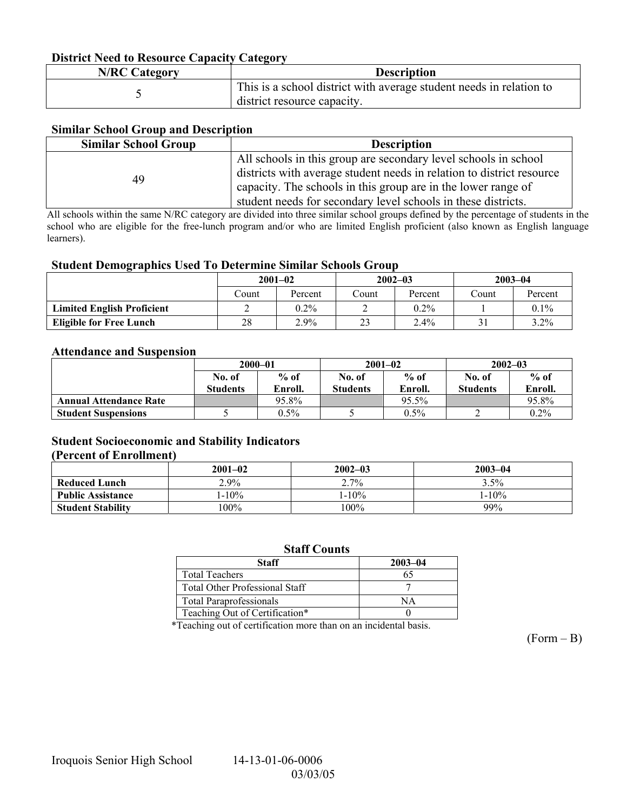### **District Need to Resource Capacity Category**

| <b>N/RC Category</b> | <b>Description</b>                                                  |
|----------------------|---------------------------------------------------------------------|
|                      | This is a school district with average student needs in relation to |
|                      | district resource capacity.                                         |

### **Similar School Group and Description**

| <b>Similar School Group</b> | <b>Description</b>                                                                                                                                                                                                                                                         |
|-----------------------------|----------------------------------------------------------------------------------------------------------------------------------------------------------------------------------------------------------------------------------------------------------------------------|
| 49                          | All schools in this group are secondary level schools in school<br>districts with average student needs in relation to district resource<br>capacity. The schools in this group are in the lower range of<br>student needs for secondary level schools in these districts. |

All schools within the same N/RC category are divided into three similar school groups defined by the percentage of students in the school who are eligible for the free-lunch program and/or who are limited English proficient (also known as English language learners).

#### **Student Demographics Used To Determine Similar Schools Group**

|                                   | $2001 - 02$ |         | $2002 - 03$ |         | $2003 - 04$ |         |
|-----------------------------------|-------------|---------|-------------|---------|-------------|---------|
|                                   | Count       | Percent | Count       | Percent | Count       | Percent |
| <b>Limited English Proficient</b> |             | $0.2\%$ |             | $0.2\%$ |             | $0.1\%$ |
| <b>Eligible for Free Lunch</b>    | 28          | 2.9%    | ر ے         | $2.4\%$ |             | $3.2\%$ |

#### **Attendance and Suspension**

|                               | $2000 - 01$<br>$%$ of<br>No. of |         |          | $2001 - 02$ | $2002 - 03$     |         |
|-------------------------------|---------------------------------|---------|----------|-------------|-----------------|---------|
|                               |                                 |         | No. of   | $%$ of      | No. of          | $%$ of  |
|                               | <b>Students</b>                 | Enroll. | Students | Enroll.     | <b>Students</b> | Enroll. |
| <b>Annual Attendance Rate</b> |                                 | 95.8%   |          | 95.5%       |                 | 95.8%   |
| <b>Student Suspensions</b>    |                                 | $0.5\%$ |          | $0.5\%$     |                 | $0.2\%$ |

### **Student Socioeconomic and Stability Indicators (Percent of Enrollment)**

### **2001–02 2002–03 2003–04 Reduced Lunch 2.9% 2.9% 2.7% 2.7% 3.5% Public Assistance** 1-10% 1-10% 1-10% 1-10% 1-10% 1-10% 1-10% 1-10% 1-10% 1-10% 1-10% 1-10% 1-10% 1-10% 1-10% 1-10% 1-10% 1-10% 1-10% 1-10% 1-10% 1-10% 1-10% 1-10% 1-10% 1-10% 1-10% 1-10% 1-10% 1-10% 1-10% 1-10% 1-10% 1-10 **Student Stability** 100%

#### **Staff Counts**

| <b>Staff</b>                          | $2003 - 04$ |
|---------------------------------------|-------------|
| <b>Total Teachers</b>                 | 65          |
| <b>Total Other Professional Staff</b> |             |
| <b>Total Paraprofessionals</b>        | NА          |
| Teaching Out of Certification*        |             |

\*Teaching out of certification more than on an incidental basis.

 $(Form - B)$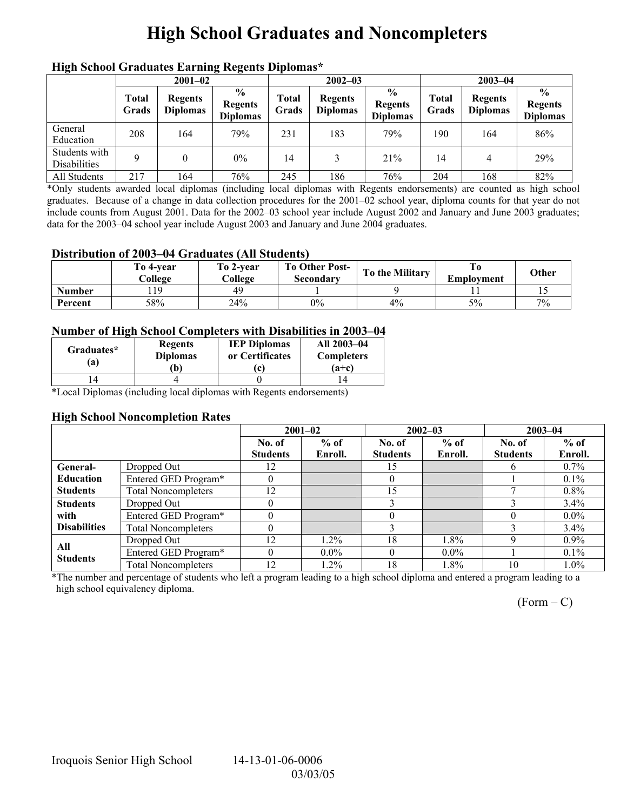# **High School Graduates and Noncompleters**

| mgn benoor Grauuates Larming regents Diplomas |                       |                                   |                                                    |                       |                                   |                                                    |                |                                   |                                                    |  |
|-----------------------------------------------|-----------------------|-----------------------------------|----------------------------------------------------|-----------------------|-----------------------------------|----------------------------------------------------|----------------|-----------------------------------|----------------------------------------------------|--|
|                                               | $2001 - 02$           |                                   |                                                    |                       | $2002 - 03$                       |                                                    |                | $2003 - 04$                       |                                                    |  |
|                                               | <b>Total</b><br>Grads | <b>Regents</b><br><b>Diplomas</b> | $\frac{6}{9}$<br><b>Regents</b><br><b>Diplomas</b> | <b>Total</b><br>Grads | <b>Regents</b><br><b>Diplomas</b> | $\frac{0}{0}$<br><b>Regents</b><br><b>Diplomas</b> | Total<br>Grads | <b>Regents</b><br><b>Diplomas</b> | $\frac{0}{0}$<br><b>Regents</b><br><b>Diplomas</b> |  |
| General<br>Education                          | 208                   | 164                               | 79%                                                | 231                   | 183                               | 79%                                                | 190            | 164                               | 86%                                                |  |
| Students with<br><b>Disabilities</b>          | 9                     |                                   | $0\%$                                              | 14                    | 3                                 | 21%                                                | 14             | 4                                 | 29%                                                |  |
| All Students                                  | 217                   | 164                               | 76%                                                | 245                   | 186                               | 76%                                                | 204            | 168                               | 82%                                                |  |

## **High School Graduates Earning Regents Diplomas\***

\*Only students awarded local diplomas (including local diplomas with Regents endorsements) are counted as high school graduates. Because of a change in data collection procedures for the 2001–02 school year, diploma counts for that year do not include counts from August 2001. Data for the 2002–03 school year include August 2002 and January and June 2003 graduates; data for the 2003–04 school year include August 2003 and January and June 2004 graduates.

### **Distribution of 2003–04 Graduates (All Students)**

|               | To 4-vear<br>College | To 2-year<br>College | <b>To Other Post-</b><br>Secondary | To the Military | Emplovment | Other |
|---------------|----------------------|----------------------|------------------------------------|-----------------|------------|-------|
| <b>Number</b> | $\overline{10}$      | 49                   |                                    |                 |            |       |
| Percent       | 58%                  | 24%                  | $0\%$                              | $4\%$           | 5%         | 7%    |

### **Number of High School Completers with Disabilities in 2003–04**

| Graduates*<br>'a) | Regents<br><b>Diplomas</b><br>b) | <b>IEP Diplomas</b><br>or Certificates | All 2003-04<br><b>Completers</b><br>$(a+c)$ |
|-------------------|----------------------------------|----------------------------------------|---------------------------------------------|
|                   |                                  |                                        |                                             |

\*Local Diplomas (including local diplomas with Regents endorsements)

### **High School Noncompletion Rates**

|                        |                            | $2001 - 02$     |         |                 | $2002 - 03$ | $2003 - 04$     |         |
|------------------------|----------------------------|-----------------|---------|-----------------|-------------|-----------------|---------|
|                        |                            | No. of          | $%$ of  | No. of          | $%$ of      | No. of          | $%$ of  |
|                        |                            | <b>Students</b> | Enroll. | <b>Students</b> | Enroll.     | <b>Students</b> | Enroll. |
| General-               | Dropped Out                | 12              |         | 15              |             | h               | $0.7\%$ |
| <b>Education</b>       | Entered GED Program*       |                 |         |                 |             |                 | $0.1\%$ |
| <b>Students</b>        | <b>Total Noncompleters</b> | 12              |         | 15              |             |                 | $0.8\%$ |
| <b>Students</b>        | Dropped Out                |                 |         |                 |             |                 | 3.4%    |
| with                   | Entered GED Program*       |                 |         |                 |             |                 | $0.0\%$ |
| <b>Disabilities</b>    | <b>Total Noncompleters</b> |                 |         |                 |             |                 | $3.4\%$ |
|                        | Dropped Out                | 12              | $1.2\%$ | 18              | $1.8\%$     | Q               | $0.9\%$ |
| All<br><b>Students</b> | Entered GED Program*       |                 | $0.0\%$ |                 | $0.0\%$     |                 | $0.1\%$ |
|                        | <b>Total Noncompleters</b> | 12              | 1.2%    | 18              | 1.8%        | 10              | $1.0\%$ |

\*The number and percentage of students who left a program leading to a high school diploma and entered a program leading to a high school equivalency diploma.

 $(Form - C)$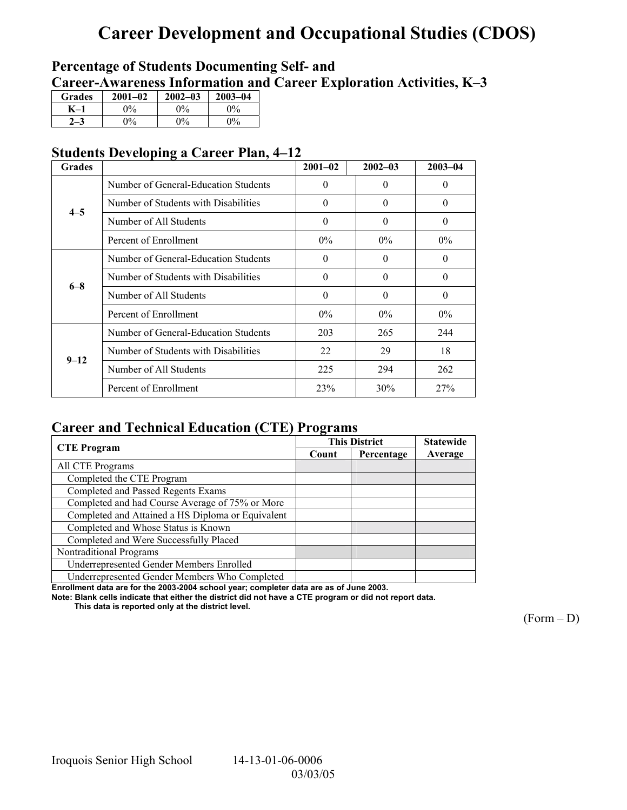# **Career Development and Occupational Studies (CDOS)**

## **Percentage of Students Documenting Self- and**  Career-Awareness Information and Career Exploration Activities, K-3

| <b>Grades</b> | $2001 - 02$           | $2002 - 03$           | $2003 - 04$ |
|---------------|-----------------------|-----------------------|-------------|
|               | 0%                    | $\gamma$ <sup>o</sup> | $0\%$       |
|               | $\gamma$ <sup>o</sup> | $\Omega$ %            | $\Omega$    |

## **Students Developing a Career Plan, 4–12**

| <b>Grades</b> |                                      | $2001 - 02$ | $2002 - 03$ | $2003 - 04$ |
|---------------|--------------------------------------|-------------|-------------|-------------|
|               | Number of General-Education Students | $\theta$    | $\Omega$    | $\theta$    |
| $4 - 5$       | Number of Students with Disabilities | $\theta$    | $\theta$    | $\theta$    |
|               | Number of All Students               | $\theta$    | $\Omega$    | $\theta$    |
|               | Percent of Enrollment                | $0\%$       | $0\%$       | $0\%$       |
|               | Number of General-Education Students | $\theta$    | $\Omega$    | 0           |
| $6 - 8$       | Number of Students with Disabilities | $\Omega$    | $\Omega$    | $\theta$    |
|               | Number of All Students               | $\theta$    | $\Omega$    | $\theta$    |
|               | Percent of Enrollment                | $0\%$       | $0\%$       | $0\%$       |
|               | Number of General-Education Students | 203         | 265         | 244         |
| $9 - 12$      | Number of Students with Disabilities | 22          | 29          | 18          |
|               | Number of All Students               | 225         | 294         | 262         |
|               | Percent of Enrollment                | 23%         | 30%         | 27%         |

## **Career and Technical Education (CTE) Programs**

|                                                   |       | <b>This District</b> | <b>Statewide</b> |
|---------------------------------------------------|-------|----------------------|------------------|
| <b>CTE</b> Program                                | Count | Percentage           | Average          |
| All CTE Programs                                  |       |                      |                  |
| Completed the CTE Program                         |       |                      |                  |
| Completed and Passed Regents Exams                |       |                      |                  |
| Completed and had Course Average of 75% or More   |       |                      |                  |
| Completed and Attained a HS Diploma or Equivalent |       |                      |                  |
| Completed and Whose Status is Known               |       |                      |                  |
| Completed and Were Successfully Placed            |       |                      |                  |
| Nontraditional Programs                           |       |                      |                  |
| Underrepresented Gender Members Enrolled          |       |                      |                  |
| Underrepresented Gender Members Who Completed     |       |                      |                  |

**Enrollment data are for the 2003-2004 school year; completer data are as of June 2003.** 

**Note: Blank cells indicate that either the district did not have a CTE program or did not report data.** 

 **This data is reported only at the district level.** 

 $(Form - D)$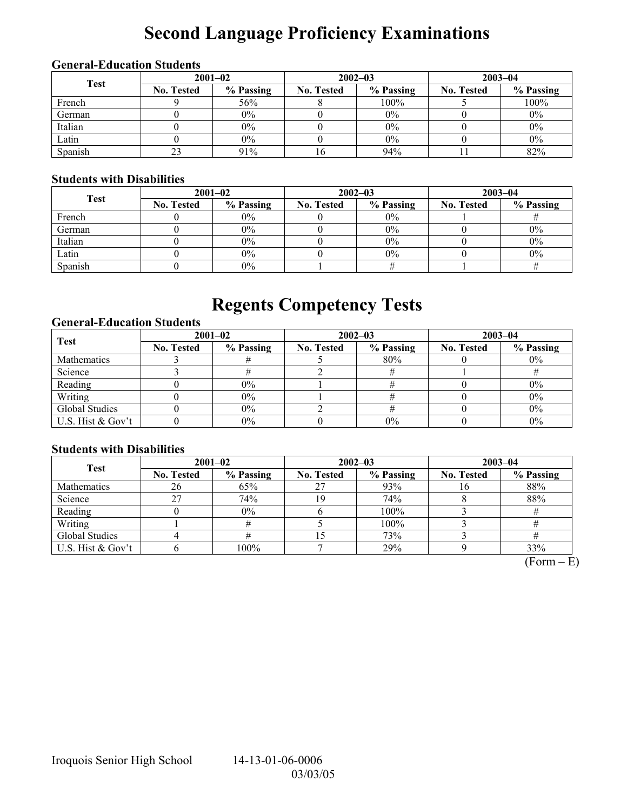# **Second Language Proficiency Examinations**

## **General-Education Students**

| <b>Test</b> | $2001 - 02$       |           |                   | $2002 - 03$ | $2003 - 04$       |           |  |
|-------------|-------------------|-----------|-------------------|-------------|-------------------|-----------|--|
|             | <b>No. Tested</b> | % Passing | <b>No. Tested</b> | % Passing   | <b>No. Tested</b> | % Passing |  |
| French      |                   | 56%       |                   | 100%        |                   | 100%      |  |
| German      |                   | $0\%$     |                   | 0%          |                   | $0\%$     |  |
| Italian     |                   | 0%        |                   | 0%          |                   | $0\%$     |  |
| Latin       |                   | $0\%$     |                   | 0%          |                   | $0\%$     |  |
| Spanish     |                   | 91%       |                   | 94%         |                   | 82%       |  |

## **Students with Disabilities**

| <b>Test</b> | $2001 - 02$       |           |                   | $2002 - 03$ | $2003 - 04$       |           |  |
|-------------|-------------------|-----------|-------------------|-------------|-------------------|-----------|--|
|             | <b>No. Tested</b> | % Passing | <b>No. Tested</b> | % Passing   | <b>No. Tested</b> | % Passing |  |
| French      |                   | $0\%$     |                   | $0\%$       |                   |           |  |
| German      |                   | $0\%$     |                   | $0\%$       |                   | $0\%$     |  |
| Italian     |                   | $0\%$     |                   | 0%          |                   | $0\%$     |  |
| Latin       |                   | $0\%$     |                   | 0%          |                   | $0\%$     |  |
| Spanish     |                   | $0\%$     |                   |             |                   |           |  |

# **Regents Competency Tests**

### **General-Education Students**

| <b>Test</b>       | $2001 - 02$       |           |                   | $2002 - 03$ | $2003 - 04$       |           |  |
|-------------------|-------------------|-----------|-------------------|-------------|-------------------|-----------|--|
|                   | <b>No. Tested</b> | % Passing | <b>No. Tested</b> | % Passing   | <b>No. Tested</b> | % Passing |  |
| Mathematics       |                   |           |                   | 80%         |                   | $0\%$     |  |
| Science           |                   |           |                   |             |                   |           |  |
| Reading           |                   | $0\%$     |                   |             |                   | $0\%$     |  |
| Writing           |                   | $0\%$     |                   |             |                   | $0\%$     |  |
| Global Studies    |                   | $0\%$     |                   |             |                   | $0\%$     |  |
| U.S. Hist & Gov't |                   | $0\%$     |                   | 0%          |                   | 0%        |  |

### **Students with Disabilities**

| <b>Test</b>        | $2001 - 02$       |           | $2002 - 03$       |           | $2003 - 04$       |           |  |
|--------------------|-------------------|-----------|-------------------|-----------|-------------------|-----------|--|
|                    | <b>No. Tested</b> | % Passing | <b>No. Tested</b> | % Passing | <b>No. Tested</b> | % Passing |  |
| <b>Mathematics</b> | 26                | 65%       | 27                | 93%       | 1 V               | 88%       |  |
| Science            | 27                | 74%       | 19                | 74%       |                   | 88%       |  |
| Reading            |                   | $0\%$     |                   | 100%      |                   |           |  |
| Writing            |                   |           |                   | 100%      |                   |           |  |
| Global Studies     |                   |           |                   | 73%       |                   |           |  |
| U.S. Hist & Gov't  |                   | 100%      |                   | 29%       |                   | 33%       |  |

 $(Form - E)$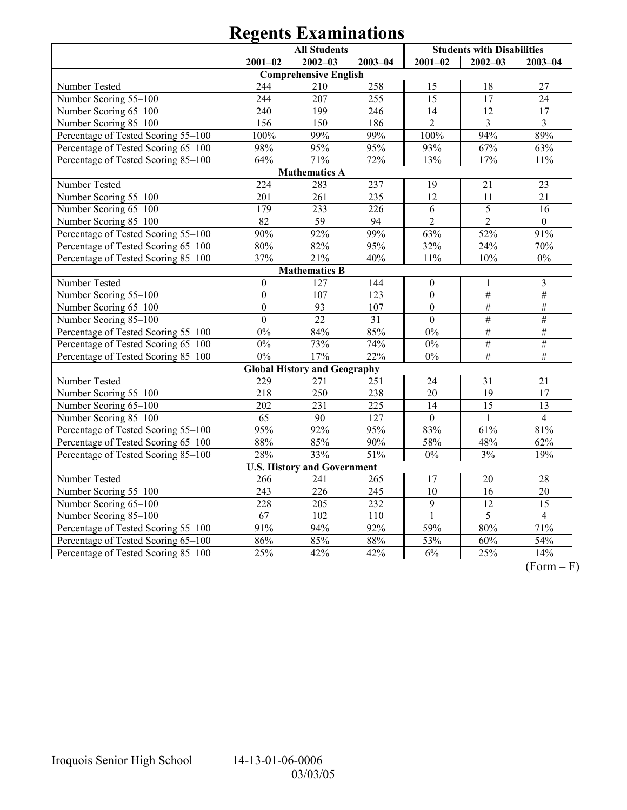|                                     | <b>All Students</b> |                                     |             |                  | <b>Students with Disabilities</b> |                 |
|-------------------------------------|---------------------|-------------------------------------|-------------|------------------|-----------------------------------|-----------------|
|                                     | $2001 - 02$         | $2002 - 03$                         | $2003 - 04$ | $2001 - 02$      | $2002 - 03$                       | $2003 - 04$     |
|                                     |                     | <b>Comprehensive English</b>        |             |                  |                                   |                 |
| Number Tested                       | 244                 | 210                                 | 258         | 15               | 18                                | 27              |
| Number Scoring 55-100               | 244                 | 207                                 | 255         | 15               | 17                                | 24              |
| Number Scoring 65-100               | 240                 | 199                                 | 246         | 14               | $\overline{12}$                   | 17              |
| Number Scoring 85-100               | 156                 | 150                                 | 186         | $\overline{2}$   | $\overline{3}$                    | $\overline{3}$  |
| Percentage of Tested Scoring 55-100 | 100%                | 99%                                 | 99%         | $100\%$          | 94%                               | 89%             |
| Percentage of Tested Scoring 65-100 | 98%                 | 95%                                 | 95%         | 93%              | 67%                               | 63%             |
| Percentage of Tested Scoring 85-100 | 64%                 | 71%                                 | 72%         | 13%              | 17%                               | 11%             |
|                                     |                     | <b>Mathematics A</b>                |             |                  |                                   |                 |
| Number Tested                       | 224                 | 283                                 | 237         | 19               | 21                                | 23              |
| Number Scoring 55-100               | 201                 | 261                                 | 235         | 12               | 11                                | 21              |
| Number Scoring 65-100               | 179                 | 233                                 | 226         | 6                | 5                                 | 16              |
| Number Scoring 85-100               | 82                  | 59                                  | 94          | $\overline{2}$   | $\overline{2}$                    | $\mathbf{0}$    |
| Percentage of Tested Scoring 55-100 | 90%                 | 92%                                 | 99%         | 63%              | 52%                               | 91%             |
| Percentage of Tested Scoring 65-100 | 80%                 | 82%                                 | 95%         | 32%              | 24%                               | 70%             |
| Percentage of Tested Scoring 85-100 | 37%                 | 21%                                 | 40%         | $11\%$           | 10%                               | $0\%$           |
|                                     |                     | <b>Mathematics B</b>                |             |                  |                                   |                 |
| Number Tested                       | $\boldsymbol{0}$    | 127                                 | 144         | $\boldsymbol{0}$ | 1                                 | $\mathfrak{Z}$  |
| Number Scoring 55-100               | $\boldsymbol{0}$    | 107                                 | 123         | $\boldsymbol{0}$ | $\#$                              | $\#$            |
| Number Scoring 65-100               | $\mathbf{0}$        | 93                                  | 107         | $\mathbf{0}$     | $\#$                              | $\#$            |
| Number Scoring 85-100               | $\mathbf{0}$        | 22                                  | 31          | $\overline{0}$   | $\#$                              | $\#$            |
| Percentage of Tested Scoring 55-100 | $0\%$               | 84%                                 | 85%         | $\overline{0\%}$ | $\#$                              | $\#$            |
| Percentage of Tested Scoring 65-100 | $0\%$               | 73%                                 | 74%         | $0\%$            | $\#$                              | $\#$            |
| Percentage of Tested Scoring 85-100 | $0\%$               | 17%                                 | 22%         | $0\%$            | $\overline{\#}$                   | $\overline{\#}$ |
|                                     |                     | <b>Global History and Geography</b> |             |                  |                                   |                 |
| Number Tested                       | 229                 | 271                                 | 251         | 24               | 31                                | 21              |
| Number Scoring 55-100               | $\overline{218}$    | 250                                 | 238         | $\overline{20}$  | $\overline{19}$                   | $\overline{17}$ |
| Number Scoring 65-100               | 202                 | 231                                 | 225         | 14               | 15                                | 13              |
| Number Scoring 85-100               | 65                  | 90                                  | 127         | $\boldsymbol{0}$ | $\mathbf{1}$                      | $\overline{4}$  |
| Percentage of Tested Scoring 55-100 | 95%                 | 92%                                 | 95%         | 83%              | 61%                               | 81%             |
| Percentage of Tested Scoring 65-100 | 88%                 | 85%                                 | 90%         | 58%              | 48%                               | 62%             |
| Percentage of Tested Scoring 85-100 | 28%                 | 33%                                 | 51%         | $\overline{0\%}$ | 3%                                | 19%             |
|                                     |                     | <b>U.S. History and Government</b>  |             |                  |                                   |                 |
| Number Tested                       | 266                 | 241                                 | 265         | 17               | 20                                | 28              |
| Number Scoring 55-100               | 243                 | 226                                 | 245         | $\overline{10}$  | $\overline{16}$                   | 20              |
| Number Scoring 65-100               | 228                 | 205                                 | 232         | $\overline{9}$   | $\overline{12}$                   | 15              |
| Number Scoring 85-100               | $\overline{67}$     | 102                                 | 110         | $\mathbf{1}$     | $\overline{5}$                    | $\overline{4}$  |
| Percentage of Tested Scoring 55-100 | 91%                 | 94%                                 | 92%         | 59%              | 80%                               | 71%             |
| Percentage of Tested Scoring 65-100 | 86%                 | 85%                                 | 88%         | 53%              | 60%                               | 54%             |
| Percentage of Tested Scoring 85-100 | 25%                 | 42%                                 | 42%         | 6%               | 25%                               | 14%             |

 $\overline{(Form - F)}$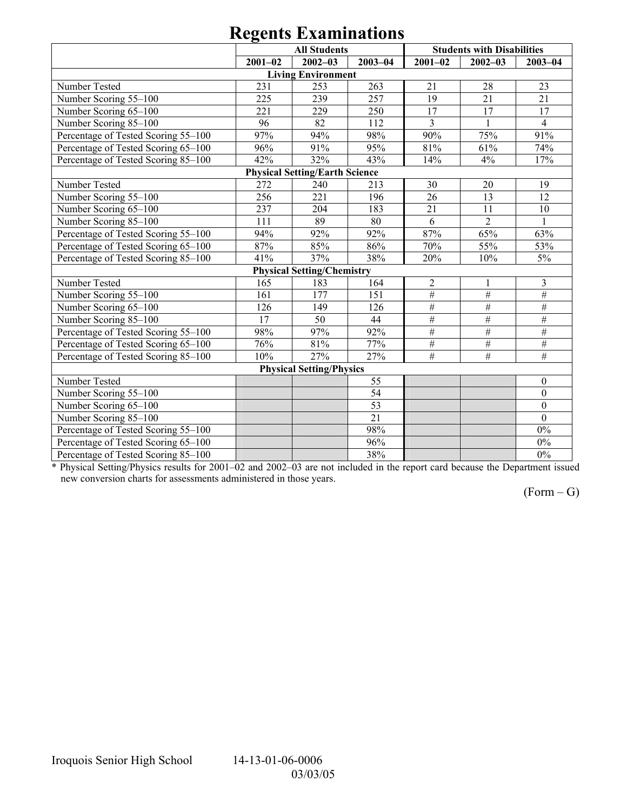|                                     | <b>All Students</b> |                                       |                 | <b>Students with Disabilities</b> |                 |                |
|-------------------------------------|---------------------|---------------------------------------|-----------------|-----------------------------------|-----------------|----------------|
|                                     | $2001 - 02$         | $2002 - 03$                           | $2003 - 04$     | $2001 - 02$                       | $2002 - 03$     | $2003 - 04$    |
|                                     |                     | <b>Living Environment</b>             |                 |                                   |                 |                |
| Number Tested                       | 231                 | 253                                   | 263             | 21                                | 28              | 23             |
| Number Scoring 55-100               | 225                 | 239                                   | 257             | 19                                | 21              | 21             |
| Number Scoring 65-100               | 221                 | 229                                   | 250             | $\overline{17}$                   | 17              | 17             |
| Number Scoring 85-100               | 96                  | 82                                    | 112             | $\overline{3}$                    | $\mathbf{1}$    | $\overline{4}$ |
| Percentage of Tested Scoring 55-100 | 97%                 | 94%                                   | 98%             | 90%                               | 75%             | 91%            |
| Percentage of Tested Scoring 65-100 | 96%                 | 91%                                   | 95%             | 81%                               | 61%             | 74%            |
| Percentage of Tested Scoring 85-100 | 42%                 | 32%                                   | 43%             | 14%                               | 4%              | 17%            |
|                                     |                     | <b>Physical Setting/Earth Science</b> |                 |                                   |                 |                |
| Number Tested                       | 272                 | 240                                   | 213             | 30                                | 20              | 19             |
| Number Scoring 55-100               | 256                 | 221                                   | 196             | 26                                | 13              | 12             |
| Number Scoring 65-100               | 237                 | 204                                   | 183             | 21                                | 11              | 10             |
| Number Scoring 85-100               | 111                 | 89                                    | 80              | 6                                 | $\overline{2}$  |                |
| Percentage of Tested Scoring 55-100 | 94%                 | 92%                                   | 92%             | 87%                               | 65%             | 63%            |
| Percentage of Tested Scoring 65-100 | 87%                 | 85%                                   | 86%             | 70%                               | 55%             | 53%            |
| Percentage of Tested Scoring 85-100 | 41%                 | 37%                                   | 38%             | 20%                               | 10%             | 5%             |
|                                     |                     | <b>Physical Setting/Chemistry</b>     |                 |                                   |                 |                |
| Number Tested                       | 165                 | 183                                   | 164             | $\overline{c}$                    |                 | 3              |
| Number Scoring 55-100               | 161                 | 177                                   | 151             | $\#$                              | $\overline{\#}$ | $\#$           |
| Number Scoring 65-100               | 126                 | 149                                   | 126             | #                                 | $\#$            | $\#$           |
| Number Scoring 85-100               | 17                  | 50                                    | 44              | $\#$                              | $\#$            | #              |
| Percentage of Tested Scoring 55-100 | 98%                 | 97%                                   | 92%             | $\overline{\#}$                   | $\overline{\#}$ | $\overline{H}$ |
| Percentage of Tested Scoring 65-100 | 76%                 | 81%                                   | 77%             | $\#$                              | $\overline{\#}$ | $\#$           |
| Percentage of Tested Scoring 85-100 | 10%                 | 27%                                   | 27%             | #                                 | $\frac{1}{2}$   | #              |
|                                     |                     | <b>Physical Setting/Physics</b>       |                 |                                   |                 |                |
| Number Tested                       |                     |                                       | 55              |                                   |                 | $\mathbf{0}$   |
| Number Scoring 55-100               |                     |                                       | 54              |                                   |                 | $\overline{0}$ |
| Number Scoring 65-100               |                     |                                       | 53              |                                   |                 | $\overline{0}$ |
| Number Scoring 85-100               |                     |                                       | $\overline{21}$ |                                   |                 | $\theta$       |
| Percentage of Tested Scoring 55-100 |                     |                                       | 98%             |                                   |                 | $0\%$          |
| Percentage of Tested Scoring 65-100 |                     |                                       | 96%             |                                   |                 | $0\%$          |
| Percentage of Tested Scoring 85-100 |                     |                                       | 38%             |                                   |                 | $0\%$          |

\* Physical Setting/Physics results for 2001–02 and 2002–03 are not included in the report card because the Department issued new conversion charts for assessments administered in those years.

 $(Form - G)$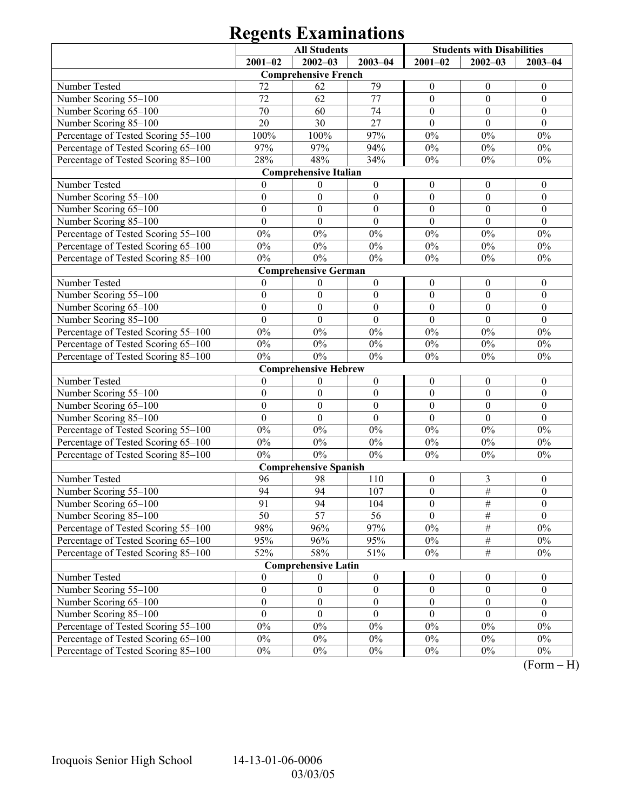|                                     |                  | <b>All Students</b>          |                  | <b>Students with Disabilities</b> |                  |                     |
|-------------------------------------|------------------|------------------------------|------------------|-----------------------------------|------------------|---------------------|
|                                     | $2001 - 02$      | $2002 - 03$                  | $2003 - 04$      | $2001 - 02$                       | $2002 - 03$      | $2003 - 04$         |
|                                     |                  | <b>Comprehensive French</b>  |                  |                                   |                  |                     |
| Number Tested                       | 72               | 62                           | 79               | $\boldsymbol{0}$                  | $\boldsymbol{0}$ | $\boldsymbol{0}$    |
| Number Scoring 55-100               | 72               | 62                           | 77               | $\boldsymbol{0}$                  | $\mathbf{0}$     | $\boldsymbol{0}$    |
| Number Scoring 65-100               | 70               | 60                           | 74               | $\boldsymbol{0}$                  | $\boldsymbol{0}$ | $\boldsymbol{0}$    |
| Number Scoring 85-100               | 20               | 30                           | 27               | $\theta$                          | $\theta$         | $\theta$            |
| Percentage of Tested Scoring 55-100 | 100%             | 100%                         | 97%              | $0\%$                             | $0\%$            | $0\%$               |
| Percentage of Tested Scoring 65-100 | 97%              | 97%                          | 94%              | $0\%$                             | $0\%$            | $0\%$               |
| Percentage of Tested Scoring 85-100 | 28%              | 48%                          | 34%              | $0\%$                             | $0\%$            | $0\%$               |
|                                     |                  | <b>Comprehensive Italian</b> |                  |                                   |                  |                     |
| Number Tested                       | $\overline{0}$   | $\boldsymbol{0}$             | $\boldsymbol{0}$ | $\boldsymbol{0}$                  | $\boldsymbol{0}$ | $\boldsymbol{0}$    |
| Number Scoring 55-100               | $\boldsymbol{0}$ | $\boldsymbol{0}$             | $\boldsymbol{0}$ | $\boldsymbol{0}$                  | $\mathbf{0}$     | $\boldsymbol{0}$    |
| Number Scoring 65-100               | $\boldsymbol{0}$ | $\boldsymbol{0}$             | $\boldsymbol{0}$ | $\boldsymbol{0}$                  | $\boldsymbol{0}$ | $\boldsymbol{0}$    |
| Number Scoring 85-100               | $\overline{0}$   | $\overline{0}$               | $\mathbf{0}$     | $\mathbf{0}$                      | $\mathbf{0}$     | $\mathbf{0}$        |
| Percentage of Tested Scoring 55-100 | $0\%$            | $0\%$                        | $0\%$            | $0\%$                             | $0\%$            | $0\%$               |
| Percentage of Tested Scoring 65-100 | $0\%$            | $0\%$                        | $0\%$            | $0\%$                             | $0\%$            | $0\%$               |
| Percentage of Tested Scoring 85-100 | $0\%$            | $0\%$                        | $0\%$            | $0\%$                             | $0\%$            | $0\%$               |
|                                     |                  | <b>Comprehensive German</b>  |                  |                                   |                  |                     |
| Number Tested                       | $\mathbf{0}$     | $\boldsymbol{0}$             | $\boldsymbol{0}$ | $\boldsymbol{0}$                  | $\boldsymbol{0}$ | $\boldsymbol{0}$    |
| Number Scoring 55-100               | $\boldsymbol{0}$ | $\boldsymbol{0}$             | $\boldsymbol{0}$ | $\boldsymbol{0}$                  | $\mathbf{0}$     | $\boldsymbol{0}$    |
| Number Scoring 65-100               | $\boldsymbol{0}$ | $\boldsymbol{0}$             | $\boldsymbol{0}$ | $\boldsymbol{0}$                  | $\boldsymbol{0}$ | $\boldsymbol{0}$    |
| Number Scoring 85-100               | $\mathbf{0}$     | $\overline{0}$               | $\mathbf{0}$     | $\mathbf{0}$                      | $\mathbf{0}$     | $\mathbf{0}$        |
| Percentage of Tested Scoring 55-100 | $0\%$            | $0\%$                        | $0\%$            | $0\%$                             | $0\%$            | $0\%$               |
| Percentage of Tested Scoring 65-100 | $0\%$            | $0\%$                        | $0\%$            | $0\%$                             | $0\%$            | $0\%$               |
| Percentage of Tested Scoring 85-100 | $0\%$            | $0\%$                        | $0\%$            | $0\%$                             | $0\%$            | $0\%$               |
|                                     |                  | <b>Comprehensive Hebrew</b>  |                  |                                   |                  |                     |
| Number Tested                       | $\boldsymbol{0}$ | $\boldsymbol{0}$             | $\boldsymbol{0}$ | $\boldsymbol{0}$                  | $\boldsymbol{0}$ | $\boldsymbol{0}$    |
| Number Scoring 55-100               | $\boldsymbol{0}$ | $\boldsymbol{0}$             | $\boldsymbol{0}$ | $\boldsymbol{0}$                  | $\mathbf{0}$     | $\boldsymbol{0}$    |
| Number Scoring 65-100               | $\boldsymbol{0}$ | $\boldsymbol{0}$             | $\boldsymbol{0}$ | $\boldsymbol{0}$                  | $\boldsymbol{0}$ | $\boldsymbol{0}$    |
| Number Scoring 85-100               | $\boldsymbol{0}$ | $\boldsymbol{0}$             | $\boldsymbol{0}$ | $\boldsymbol{0}$                  | $\mathbf{0}$     | $\boldsymbol{0}$    |
| Percentage of Tested Scoring 55-100 | $0\%$            | $0\%$                        | $0\%$            | $0\%$                             | $0\%$            | $0\%$               |
| Percentage of Tested Scoring 65-100 | $0\%$            | $0\%$                        | $0\%$            | $0\%$                             | $0\%$            | $0\%$               |
| Percentage of Tested Scoring 85-100 | $0\%$            | $0\%$                        | $0\%$            | $0\%$                             | $0\%$            | $0\%$               |
|                                     |                  | <b>Comprehensive Spanish</b> |                  |                                   |                  |                     |
| Number Tested                       | 96               | 98                           | 110              | $\boldsymbol{0}$                  | 3                | $\boldsymbol{0}$    |
| Number Scoring 55-100               | 94               | 94                           | 107              | $\boldsymbol{0}$                  | $\#$             | $\boldsymbol{0}$    |
| Number Scoring 65-100               | 91               | 94                           | 104              | $\boldsymbol{0}$                  | #                | $\boldsymbol{0}$    |
| Number Scoring 85-100               | 50               | $\overline{57}$              | 56               | $\theta$                          | $\#$             | $\mathbf{0}$        |
| Percentage of Tested Scoring 55-100 | 98%              | 96%                          | 97%              | $0\%$                             | $\frac{1}{2}$    | $0\%$               |
| Percentage of Tested Scoring 65-100 | 95%              | 96%                          | 95%              | $0\%$                             | $\frac{1}{2}$    | $0\%$               |
| Percentage of Tested Scoring 85-100 | 52%              | 58%                          | 51%              | $0\%$                             | $\overline{\#}$  | $0\%$               |
|                                     |                  | <b>Comprehensive Latin</b>   |                  |                                   |                  |                     |
| Number Tested                       | $\mathbf{0}$     | $\theta$                     | $\boldsymbol{0}$ | $\boldsymbol{0}$                  | $\boldsymbol{0}$ | $\boldsymbol{0}$    |
| Number Scoring 55-100               | $\boldsymbol{0}$ | $\boldsymbol{0}$             | $\boldsymbol{0}$ | $\boldsymbol{0}$                  | $\boldsymbol{0}$ | $\boldsymbol{0}$    |
| Number Scoring 65-100               | $\boldsymbol{0}$ | $\boldsymbol{0}$             | $\boldsymbol{0}$ | $\boldsymbol{0}$                  | $\boldsymbol{0}$ | $\boldsymbol{0}$    |
| Number Scoring 85-100               | $\mathbf{0}$     | $\mathbf{0}$                 | $\mathbf{0}$     | $\mathbf{0}$                      | $\theta$         | $\mathbf{0}$        |
| Percentage of Tested Scoring 55-100 | $0\%$            | $0\%$                        | $0\%$            | $0\%$                             | $0\%$            | $0\%$               |
| Percentage of Tested Scoring 65-100 | $0\%$            | $0\%$                        | $0\%$            | $0\%$                             | $0\%$            | $0\%$               |
| Percentage of Tested Scoring 85-100 | $0\%$            | $0\%$                        | $0\%$            | $0\%$                             | $0\%$            | $0\%$<br>$\sqrt{ }$ |

 $(Form - H)$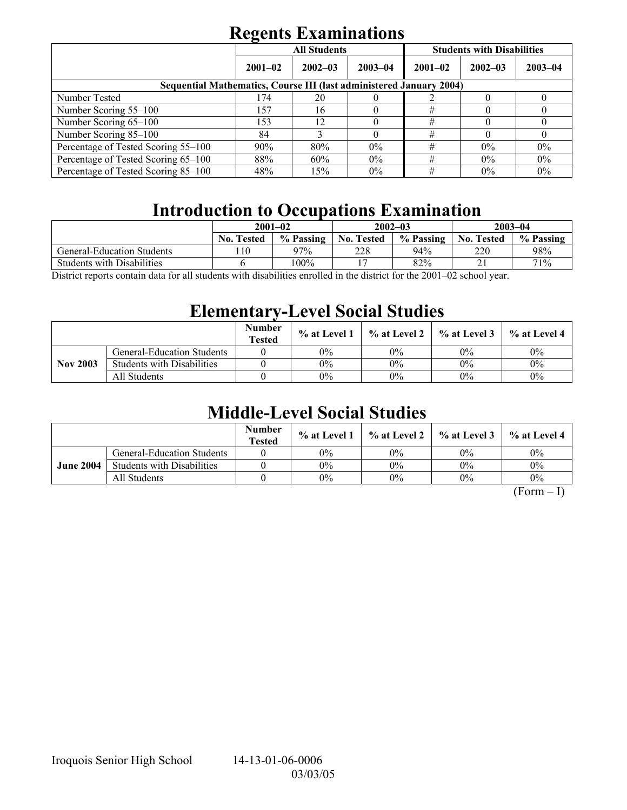|                                                                            | <b>All Students</b> |             |             | <b>Students with Disabilities</b> |             |             |  |
|----------------------------------------------------------------------------|---------------------|-------------|-------------|-----------------------------------|-------------|-------------|--|
|                                                                            | $2001 - 02$         | $2002 - 03$ | $2003 - 04$ | $2001 - 02$                       | $2002 - 03$ | $2003 - 04$ |  |
| <b>Sequential Mathematics, Course III (last administered January 2004)</b> |                     |             |             |                                   |             |             |  |
| Number Tested                                                              | 174                 | 20          |             |                                   |             |             |  |
| Number Scoring 55–100                                                      | 157                 | 16          |             | #                                 |             |             |  |
| Number Scoring 65-100                                                      | 153                 | 12          |             | #                                 |             |             |  |
| Number Scoring 85-100                                                      | 84                  |             |             | #                                 |             |             |  |
| Percentage of Tested Scoring 55-100                                        | 90%                 | 80%         | $0\%$       | #                                 | $0\%$       | $0\%$       |  |
| Percentage of Tested Scoring 65-100                                        | 88%                 | 60%         | $0\%$       | #                                 | $0\%$       | 0%          |  |
| Percentage of Tested Scoring 85–100                                        | 48%                 | 15%         | $0\%$       | #                                 | $0\%$       | $0\%$       |  |

# **Introduction to Occupations Examination**

|                                   | $2001 - 02$                    |              |                   | $2002 - 03$                                                                                                                                                                                                                                                                                                                        | $2003 - 04$       |           |
|-----------------------------------|--------------------------------|--------------|-------------------|------------------------------------------------------------------------------------------------------------------------------------------------------------------------------------------------------------------------------------------------------------------------------------------------------------------------------------|-------------------|-----------|
|                                   | <b>No. Tested</b>              | % Passing    | <b>No. Tested</b> | % Passing                                                                                                                                                                                                                                                                                                                          | <b>No. Tested</b> | % Passing |
| <b>General-Education Students</b> | 10                             | 97%          | 228               | 94%                                                                                                                                                                                                                                                                                                                                | 220               | 98%       |
| <b>Students with Disabilities</b> |                                | 100%         |                   | 82%                                                                                                                                                                                                                                                                                                                                | ∠ ⊥               | 71%       |
| $\mathbf{1}$ $\mathbf{0}$<br>11.7 | $\cdot$ , and a set of $\cdot$ | $11 \quad 1$ |                   | $\mathbf{r}$ $\mathbf{r}$ $\mathbf{r}$ $\mathbf{r}$ $\mathbf{r}$ $\mathbf{r}$ $\mathbf{r}$ $\mathbf{r}$ $\mathbf{r}$ $\mathbf{r}$ $\mathbf{r}$ $\mathbf{r}$ $\mathbf{r}$ $\mathbf{r}$ $\mathbf{r}$ $\mathbf{r}$ $\mathbf{r}$ $\mathbf{r}$ $\mathbf{r}$ $\mathbf{r}$ $\mathbf{r}$ $\mathbf{r}$ $\mathbf{r}$ $\mathbf{r}$ $\mathbf{$ |                   |           |

District reports contain data for all students with disabilities enrolled in the district for the 2001–02 school year.

## **Elementary-Level Social Studies**

|                 |                                   | <b>Number</b><br><b>Tested</b> | $%$ at Level 1 | % at Level 2 | $\%$ at Level 3 | % at Level 4 |
|-----------------|-----------------------------------|--------------------------------|----------------|--------------|-----------------|--------------|
| <b>Nov 2003</b> | General-Education Students        |                                | 0%             | 0%           | 0%              | $0\%$        |
|                 | <b>Students with Disabilities</b> |                                | 0%             | 0%           | $0\%$           | $0\%$        |
|                 | All Students                      |                                | 0%             | 0%           | $0\%$           | $0\%$        |

## **Middle-Level Social Studies**

|                  |                                   | <b>Number</b><br><b>Tested</b> | $\%$ at Level 1 |       | $\%$ at Level 2 $\%$ at Level 3 | $\%$ at Level 4 |
|------------------|-----------------------------------|--------------------------------|-----------------|-------|---------------------------------|-----------------|
| <b>June 2004</b> | <b>General-Education Students</b> |                                | 0%              | 0%    | $0\%$                           | $0\%$           |
|                  | <b>Students with Disabilities</b> |                                | 0%              | 0%    | $0\%$                           | $0\%$           |
|                  | All Students                      |                                | 0%              | $0\%$ | $0\%$                           | $0\%$           |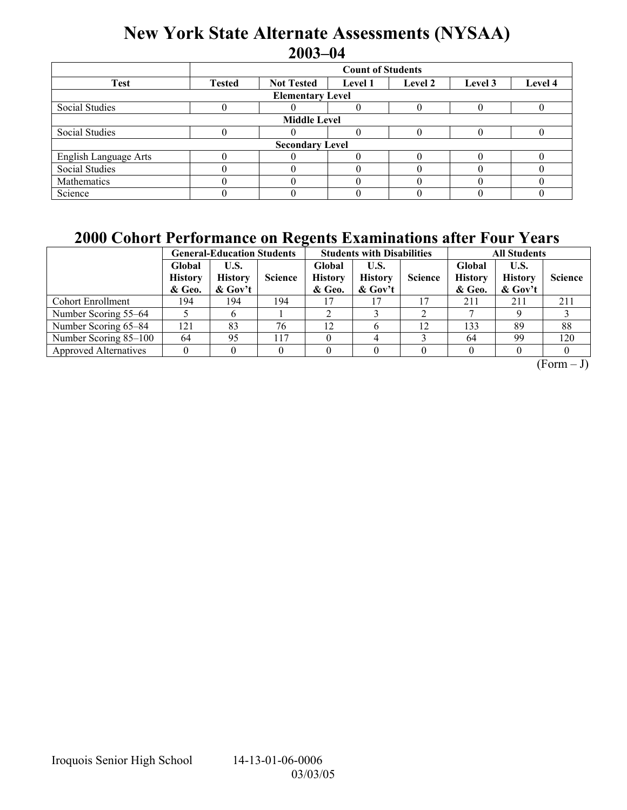## **New York State Alternate Assessments (NYSAA) 2003-04**

|                         | <b>Count of Students</b> |                   |                |         |         |         |  |  |  |  |
|-------------------------|--------------------------|-------------------|----------------|---------|---------|---------|--|--|--|--|
| <b>Test</b>             | <b>Tested</b>            | <b>Not Tested</b> | <b>Level 1</b> | Level 2 | Level 3 | Level 4 |  |  |  |  |
| <b>Elementary Level</b> |                          |                   |                |         |         |         |  |  |  |  |
| Social Studies          |                          |                   |                |         |         |         |  |  |  |  |
| <b>Middle Level</b>     |                          |                   |                |         |         |         |  |  |  |  |
| Social Studies          |                          |                   |                |         |         |         |  |  |  |  |
| <b>Secondary Level</b>  |                          |                   |                |         |         |         |  |  |  |  |
| English Language Arts   |                          |                   |                |         |         |         |  |  |  |  |
| <b>Social Studies</b>   |                          |                   |                |         |         |         |  |  |  |  |
| Mathematics             |                          |                   |                |         |         |         |  |  |  |  |
| Science                 |                          |                   |                |         |         |         |  |  |  |  |

## **2000 Cohort Performance on Regents Examinations after Four Years**

|                              | $\overline{\phantom{a}}$<br><b>General-Education Students</b> |                                      |                |                                    | <b>Students with Disabilities</b>    |                | <b>All Students</b>                |                                      |                |
|------------------------------|---------------------------------------------------------------|--------------------------------------|----------------|------------------------------------|--------------------------------------|----------------|------------------------------------|--------------------------------------|----------------|
|                              | Global<br><b>History</b><br>& Geo.                            | U.S.<br><b>History</b><br>$\&$ Gov't | <b>Science</b> | Global<br><b>History</b><br>& Geo. | U.S.<br><b>History</b><br>$\&$ Gov't | <b>Science</b> | Global<br><b>History</b><br>& Geo. | U.S.<br><b>History</b><br>$\&$ Gov't | <b>Science</b> |
| <b>Cohort Enrollment</b>     | 194                                                           | 194                                  | 194            |                                    |                                      | 17             | 211                                | 211                                  | 211            |
| Number Scoring 55–64         |                                                               | o                                    |                |                                    |                                      |                |                                    |                                      |                |
| Number Scoring 65-84         | 121                                                           | 83                                   | 76             | 12                                 |                                      | 12             | 133                                | 89                                   | 88             |
| Number Scoring 85-100        | 64                                                            | 95                                   | 117            |                                    |                                      |                | 64                                 | 99                                   | 120            |
| <b>Approved Alternatives</b> |                                                               |                                      |                |                                    |                                      |                |                                    |                                      |                |

 $(Form - J)$